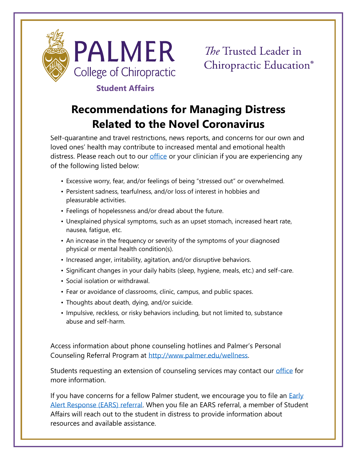

## **Student Affairs**

## **Recommendations for Managing Distress Related to the Novel Coronavirus**

Self-quarantine and travel restrictions, news reports, and concerns for our own and loved ones' health may contribute to increased mental and emotional health distress. Please reach out to our [office](http://www.palmer.edu/students/academic-success/support-services/) or your clinician if you are experiencing any of the following listed below:

- Excessive worry, fear, and/or feelings of being "stressed out" or overwhelmed.
- Persistent sadness, tearfulness, and/or loss of interest in hobbies and pleasurable activities.
- Feelings of hopelessness and/or dread about the future.
- Unexplained physical symptoms, such as an upset stomach, increased heart rate, nausea, fatigue, etc.
- An increase in the frequency or severity of the symptoms of your diagnosed physical or mental health condition(s).
- Increased anger, irritability, agitation, and/or disruptive behaviors.
- Significant changes in your daily habits (sleep, hygiene, meals, etc.) and self-care.
- Social isolation or withdrawal.
- Fear or avoidance of classrooms, clinic, campus, and public spaces.
- Thoughts about death, dying, and/or suicide.
- Impulsive, reckless, or risky behaviors including, but not limited to, substance abuse and self-harm.

Access information about phone counseling hotlines and Palmer's Personal Counseling Referral Program at [http://www.palmer.edu/wellness.](http://www.palmer.edu/wellness)

Students requesting an extension of counseling services may contact our [office](http://www.palmer.edu/students/academic-success/support-services/) for more information.

If you have concerns for a fellow Palmer student, we encourage you to file an Early [Alert Response \(EARS\) referral.](https://www.cdc.gov/coronavirus/2019-ncov/about/coping.html) When you file an EARS referral, a member of Student Affairs will reach out to the student in distress to provide information about resources and available assistance.